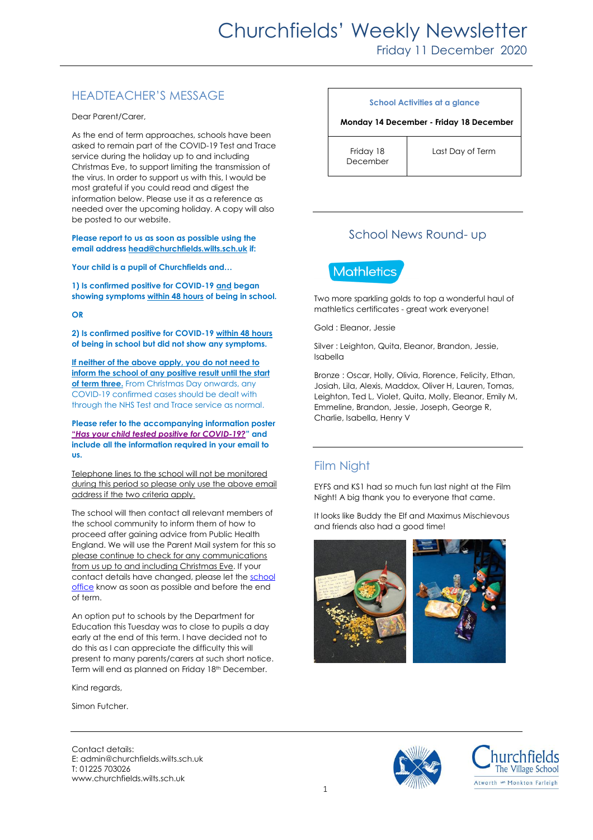# HEADTEACHER'S MESSAGE

Dear Parent/Carer,

As the end of term approaches, schools have been asked to remain part of the COVID-19 Test and Trace service during the holiday up to and including Christmas Eve, to support limiting the transmission of the virus. In order to support us with this, I would be most grateful if you could read and digest the information below. Please use it as a reference as needed over the upcoming holiday. A copy will also be posted to our website.

**Please report to us as soon as possible using the email address [head@churchfields.wilts.sch.uk](mailto:head@churchfields.wilts.sch.uk) if:**

**Your child is a pupil of Churchfields and…**

**1) Is confirmed positive for COVID-19 and began showing symptoms within 48 hours of being in school.**

**OR**

**2) Is confirmed positive for COVID-19 within 48 hours of being in school but did not show any symptoms.**

**If neither of the above apply, you do not need to inform the school of any positive result until the start of term three.** From Christmas Day onwards, any COVID-19 confirmed cases should be dealt with through the NHS Test and Trace service as normal.

**Please refer to the accompanying information poster "***Has your child tested [positive for COVID-19?](https://churchfields.wilts.sch.uk/wp-content/uploads/2020/12/B-COVID-19-School-Close-Contact-poster-1.pdf)***" and include all the information required in your email to us.** 

Telephone lines to the school will not be monitored during this period so please only use the above email address if the two criteria apply.

The school will then contact all relevant members of the school community to inform them of how to proceed after gaining advice from Public Health England. We will use the Parent Mail system for this so please continue to check for any communications from us up to and including Christmas Eve. If your contact details have changed, please let the [school](mailto:admin@churchfields.wilts.sch.uk)  [office](mailto:admin@churchfields.wilts.sch.uk) know as soon as possible and before the end of term.

An option put to schools by the Department for Education this Tuesday was to close to pupils a day early at the end of this term. I have decided not to do this as I can appreciate the difficulty this will present to many parents/carers at such short notice. Term will end as planned on Friday 18th December.

Kind regards,

Simon Futcher.

#### **School Activities at a glance**

#### **Monday 14 December - Friday 18 December**

Friday 18 December

Last Day of Term

# School News Round- up



Two more sparkling golds to top a wonderful haul of mathletics certificates - great work everyone!

Gold : Eleanor, Jessie

Silver : Leighton, Quita, Eleanor, Brandon, Jessie, Isabella

Bronze : Oscar, Holly, Olivia, Florence, Felicity, Ethan, Josiah, Lila, Alexis, Maddox, Oliver H, Lauren, Tomas, Leighton, Ted L, Violet, Quita, Molly, Eleanor, Emily M, Emmeline, Brandon, Jessie, Joseph, George R, Charlie, Isabella, Henry V

# Film Night

EYFS and KS1 had so much fun last night at the Film Night! A big thank you to everyone that came.

It looks like Buddy the Elf and Maximus Mischievous and friends also had a good time!







Contact details: E: admin@churchfields.wilts.sch.uk T: 01225 703026 www.churchfields.wilts.sch.uk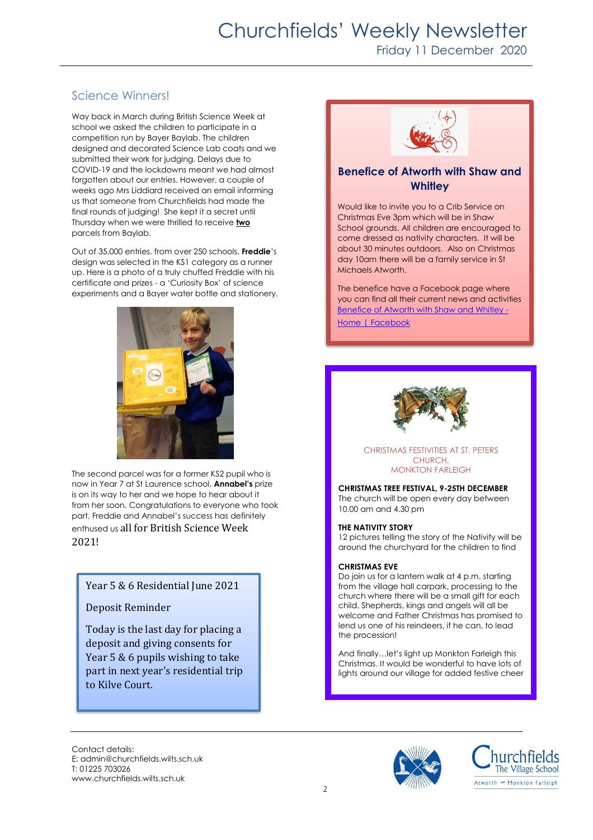# Churchfields' Weekly Newsletter Friday 11 December 2020

# Science Winners!

Way back in March during British Science Week at school we asked the children to participate in a competition run by Bayer Baylab. The children designed and decorated Science Lab coats and we submitted their work for judging. Delays due to COVID-19 and the lockdowns meant we had almost forgotten about our entries. However, a couple of weeks ago Mrs Liddiard received an email informing us that someone from Churchfields had made the final rounds of judging! She kept it a secret until Thursday when we were thrilled to receive **two** parcels from Baylab.

Out of 35,000 entries, from over 250 schools, **Freddie**'s design was selected in the KS1 category as a runner up. Here is a photo of a truly chuffed Freddie with his certificate and prizes - a 'Curiosity Box' of science experiments and a Bayer water bottle and stationery.



The second parcel was for a former KS2 pupil who is now in Year 7 at St Laurence school. **Annabel's** prize is on its way to her and we hope to hear about it from her soon. Congratulations to everyone who took part. Freddie and Annabel's success has definitely enthused us all for British Science Week 2021!

### Year 5 & 6 Residential June 2021

#### Deposit Reminder

Today is the last day for placing a deposit and giving consents for Year 5 & 6 pupils wishing to take part in next year's residential trip to Kilve Court.



## **Benefice of Atworth with Shaw and Whitley**

Would like to invite you to a Crib Service on Christmas Eve 3pm which will be in Shaw School grounds. All children are encouraged to come dressed as nativity characters. It will be about 30 minutes outdoors. Also on Christmas day 10am there will be a family service in St Michaels Atworth.

The benefice have a Facebook page where you can find all their current news and activities [Benefice of Atworth with Shaw and Whitley -](https://www.facebook.com/beneficeofatworthwithshawandwhitley) [Home | Facebook](https://www.facebook.com/beneficeofatworthwithshawandwhitley)



#### CHRISTMAS FESTIVITIES AT ST. PETERS **CHURCH** MONKTON FARLEIGH

**CHRISTMAS TREE FESTIVAL, 9-25TH DECEMBER** The church will be open every day between 10.00 am and 4.30 pm

#### **THE NATIVITY STORY**

12 pictures telling the story of the Nativity will be around the churchyard for the children to find

#### **CHRISTMAS EVE**

Do join us for a lantern walk at 4 p.m. starting from the village hall carpark, processing to the church where there will be a small gift for each child. Shepherds, kings and angels will all be welcome and Father Christmas has promised to lend us one of his reindeers, if he can, to lead the procession!

And finally…let's light up Monkton Farleigh this Christmas. It would be wonderful to have lots of lights around our village for added festive cheer

Contact details: E: admin@churchfields.wilts.sch.uk T: 01225 703026 www.churchfields.wilts.sch.uk